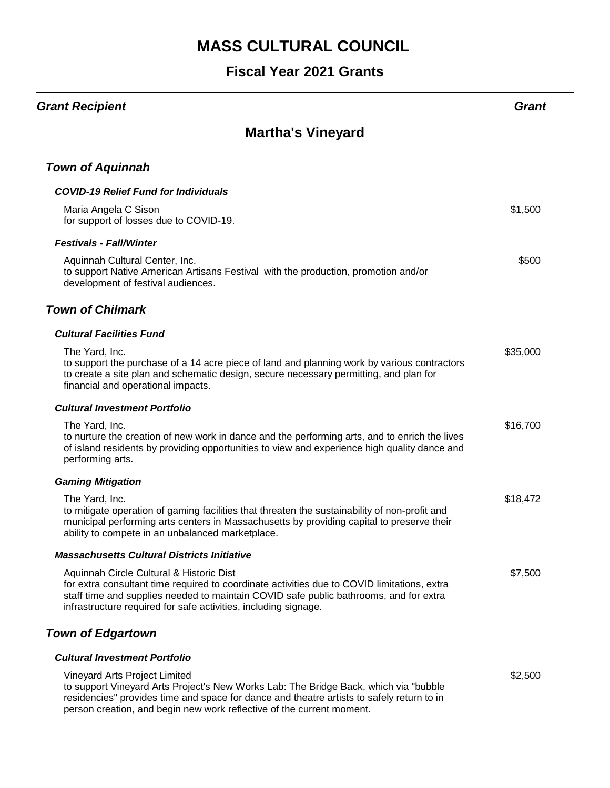#### **Fiscal Year 2021 Grants**

#### *Grant Recipient Grant*

## **Martha's Vineyard**

#### *Town of Aquinnah*

| <b>COVID-19 Relief Fund for Individuals</b>                                                                                                                                                                                                                                                         |          |
|-----------------------------------------------------------------------------------------------------------------------------------------------------------------------------------------------------------------------------------------------------------------------------------------------------|----------|
| Maria Angela C Sison<br>for support of losses due to COVID-19.                                                                                                                                                                                                                                      | \$1,500  |
| <b>Festivals - Fall/Winter</b>                                                                                                                                                                                                                                                                      |          |
| Aquinnah Cultural Center, Inc.<br>to support Native American Artisans Festival with the production, promotion and/or<br>development of festival audiences.                                                                                                                                          | \$500    |
| <b>Town of Chilmark</b>                                                                                                                                                                                                                                                                             |          |
| <b>Cultural Facilities Fund</b>                                                                                                                                                                                                                                                                     |          |
| The Yard, Inc.<br>to support the purchase of a 14 acre piece of land and planning work by various contractors<br>to create a site plan and schematic design, secure necessary permitting, and plan for<br>financial and operational impacts.                                                        | \$35,000 |
| <b>Cultural Investment Portfolio</b>                                                                                                                                                                                                                                                                |          |
| The Yard, Inc.<br>to nurture the creation of new work in dance and the performing arts, and to enrich the lives<br>of island residents by providing opportunities to view and experience high quality dance and<br>performing arts.                                                                 | \$16,700 |
| <b>Gaming Mitigation</b>                                                                                                                                                                                                                                                                            |          |
| The Yard, Inc.<br>to mitigate operation of gaming facilities that threaten the sustainability of non-profit and<br>municipal performing arts centers in Massachusetts by providing capital to preserve their<br>ability to compete in an unbalanced marketplace.                                    | \$18,472 |
| <b>Massachusetts Cultural Districts Initiative</b>                                                                                                                                                                                                                                                  |          |
| Aquinnah Circle Cultural & Historic Dist<br>for extra consultant time required to coordinate activities due to COVID limitations, extra<br>staff time and supplies needed to maintain COVID safe public bathrooms, and for extra<br>infrastructure required for safe activities, including signage. | \$7,500  |
| <b>Town of Edgartown</b>                                                                                                                                                                                                                                                                            |          |
| <b>Cultural Investment Portfolio</b>                                                                                                                                                                                                                                                                |          |
| Vineyard Arts Project Limited<br>to support Vineyard Arts Project's New Works Lab: The Bridge Back, which via "bubble<br>residencies" provides time and space for dance and theatre artists to safely return to in<br>person creation, and begin new work reflective of the current moment.         | \$2,500  |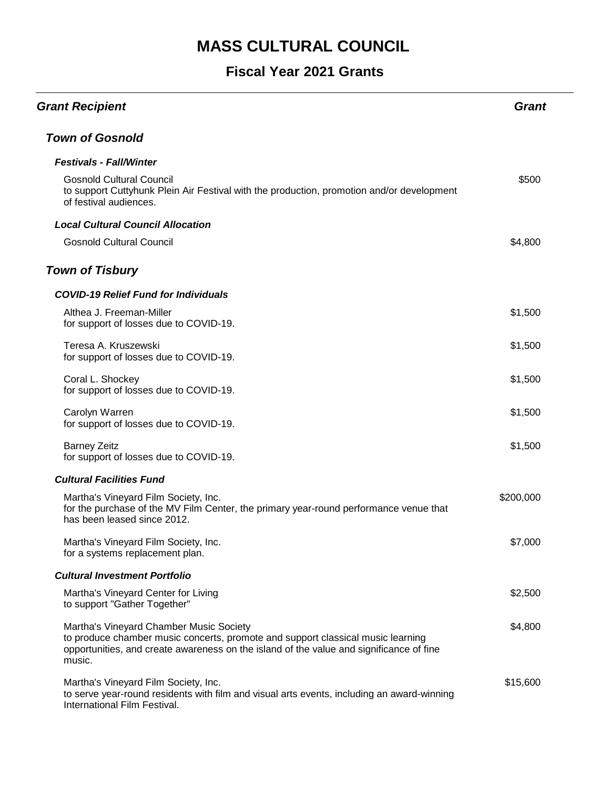## **Fiscal Year 2021 Grants**

| <b>Grant Recipient</b>                                                                                                                                                                                                          | Grant     |
|---------------------------------------------------------------------------------------------------------------------------------------------------------------------------------------------------------------------------------|-----------|
| <b>Town of Gosnold</b>                                                                                                                                                                                                          |           |
| <b>Festivals - Fall/Winter</b>                                                                                                                                                                                                  |           |
| <b>Gosnold Cultural Council</b><br>to support Cuttyhunk Plein Air Festival with the production, promotion and/or development<br>of festival audiences.                                                                          | \$500     |
| <b>Local Cultural Council Allocation</b>                                                                                                                                                                                        |           |
| <b>Gosnold Cultural Council</b>                                                                                                                                                                                                 | \$4,800   |
| <b>Town of Tisbury</b>                                                                                                                                                                                                          |           |
| <b>COVID-19 Relief Fund for Individuals</b>                                                                                                                                                                                     |           |
| Althea J. Freeman-Miller<br>for support of losses due to COVID-19.                                                                                                                                                              | \$1,500   |
| Teresa A. Kruszewski<br>for support of losses due to COVID-19.                                                                                                                                                                  | \$1,500   |
| Coral L. Shockey<br>for support of losses due to COVID-19.                                                                                                                                                                      | \$1,500   |
| Carolyn Warren<br>for support of losses due to COVID-19.                                                                                                                                                                        | \$1,500   |
| <b>Barney Zeitz</b><br>for support of losses due to COVID-19.                                                                                                                                                                   | \$1,500   |
| <b>Cultural Facilities Fund</b>                                                                                                                                                                                                 |           |
| Martha's Vineyard Film Society, Inc.<br>for the purchase of the MV Film Center, the primary year-round performance venue that<br>has been leased since 2012.                                                                    | \$200,000 |
| Martha's Vineyard Film Society, Inc.<br>for a systems replacement plan.                                                                                                                                                         | \$7,000   |
| <b>Cultural Investment Portfolio</b>                                                                                                                                                                                            |           |
| Martha's Vineyard Center for Living<br>to support "Gather Together"                                                                                                                                                             | \$2,500   |
| Martha's Vineyard Chamber Music Society<br>to produce chamber music concerts, promote and support classical music learning<br>opportunities, and create awareness on the island of the value and significance of fine<br>music. | \$4,800   |
| Martha's Vineyard Film Society, Inc.<br>to serve year-round residents with film and visual arts events, including an award-winning<br>International Film Festival.                                                              | \$15,600  |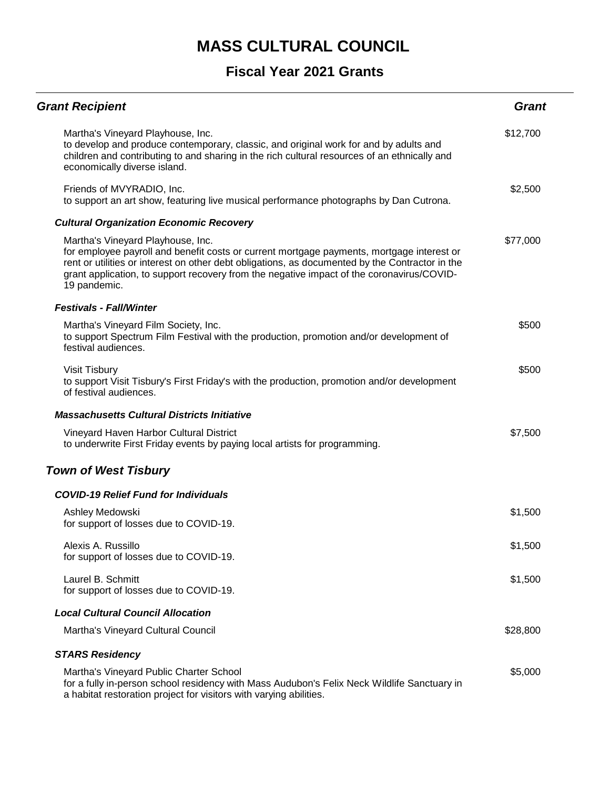## **Fiscal Year 2021 Grants**

| <b>Grant Recipient</b>                                                                                                                                                                                                                                                                                                                         | <b>Grant</b> |
|------------------------------------------------------------------------------------------------------------------------------------------------------------------------------------------------------------------------------------------------------------------------------------------------------------------------------------------------|--------------|
| Martha's Vineyard Playhouse, Inc.<br>to develop and produce contemporary, classic, and original work for and by adults and<br>children and contributing to and sharing in the rich cultural resources of an ethnically and<br>economically diverse island.                                                                                     | \$12,700     |
| Friends of MVYRADIO, Inc.<br>to support an art show, featuring live musical performance photographs by Dan Cutrona.                                                                                                                                                                                                                            | \$2,500      |
| <b>Cultural Organization Economic Recovery</b>                                                                                                                                                                                                                                                                                                 |              |
| Martha's Vineyard Playhouse, Inc.<br>for employee payroll and benefit costs or current mortgage payments, mortgage interest or<br>rent or utilities or interest on other debt obligations, as documented by the Contractor in the<br>grant application, to support recovery from the negative impact of the coronavirus/COVID-<br>19 pandemic. | \$77,000     |
| <b>Festivals - Fall/Winter</b>                                                                                                                                                                                                                                                                                                                 |              |
| Martha's Vineyard Film Society, Inc.<br>to support Spectrum Film Festival with the production, promotion and/or development of<br>festival audiences.                                                                                                                                                                                          | \$500        |
| Visit Tisbury<br>to support Visit Tisbury's First Friday's with the production, promotion and/or development<br>of festival audiences.                                                                                                                                                                                                         | \$500        |
| <b>Massachusetts Cultural Districts Initiative</b>                                                                                                                                                                                                                                                                                             |              |
| Vineyard Haven Harbor Cultural District<br>to underwrite First Friday events by paying local artists for programming.                                                                                                                                                                                                                          | \$7,500      |
| <b>Town of West Tisbury</b>                                                                                                                                                                                                                                                                                                                    |              |
| <b>COVID-19 Relief Fund for Individuals</b>                                                                                                                                                                                                                                                                                                    |              |
| Ashley Medowski<br>for support of losses due to COVID-19.                                                                                                                                                                                                                                                                                      | \$1,500      |
| Alexis A. Russillo<br>for support of losses due to COVID-19.                                                                                                                                                                                                                                                                                   | \$1,500      |
| Laurel B. Schmitt<br>for support of losses due to COVID-19.                                                                                                                                                                                                                                                                                    | \$1,500      |
| <b>Local Cultural Council Allocation</b>                                                                                                                                                                                                                                                                                                       |              |
| Martha's Vineyard Cultural Council                                                                                                                                                                                                                                                                                                             | \$28,800     |
| <b>STARS Residency</b>                                                                                                                                                                                                                                                                                                                         |              |
| Martha's Vineyard Public Charter School<br>for a fully in-person school residency with Mass Audubon's Felix Neck Wildlife Sanctuary in<br>a habitat restoration project for visitors with varying abilities.                                                                                                                                   | \$5,000      |